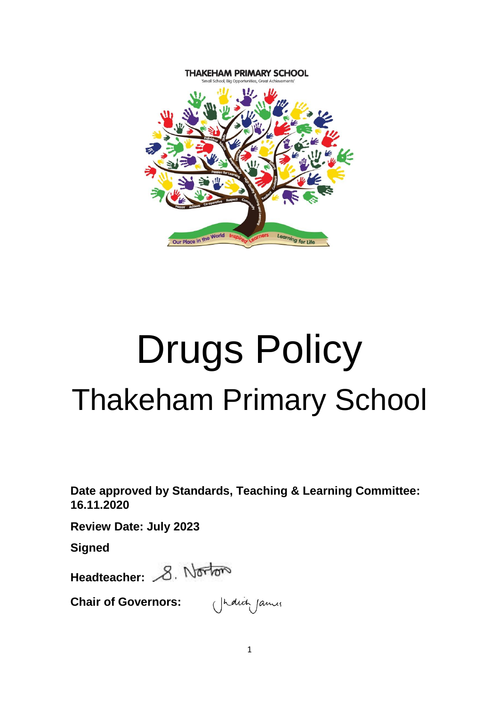

# Drugs Policy Thakeham Primary School

**Date approved by Standards, Teaching & Learning Committee: 16.11.2020**

**Review Date: July 2023**

**Signed**

Headteacher: 8. Norton

**Chair of Governors:**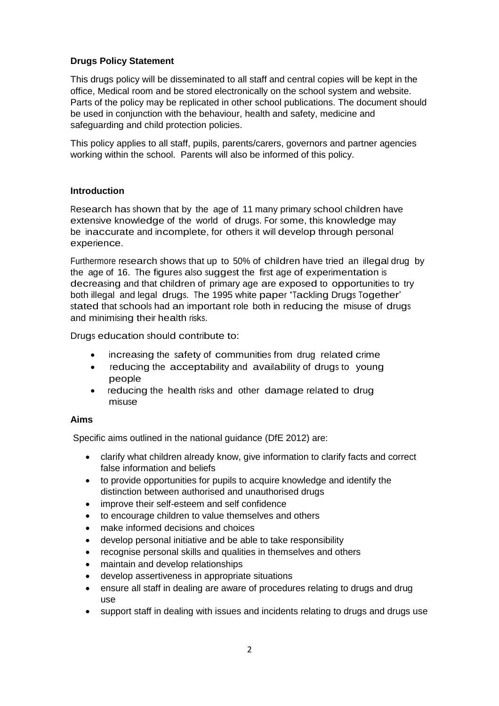## **Drugs Policy Statement**

This drugs policy will be disseminated to all staff and central copies will be kept in the office, Medical room and be stored electronically on the school system and website. Parts of the policy may be replicated in other school publications. The document should be used in conjunction with the behaviour, health and safety, medicine and safeguarding and child protection policies.

This policy applies to all staff, pupils, parents/carers, governors and partner agencies working within the school. Parents will also be informed of this policy.

## **Introduction**

Research has shown that by the age of 11 many primary school children have extensive knowledge of the world of drugs. For some, this knowledge may be inaccurate and incomplete, for others it will develop through personal experience.

Furthermore research shows that up to 50% of children have tried an illegal drug by the age of 16. The figures also suggest the first age of experimentation is decreasing and that children of primary age are exposed to opportunities to try both illegal and legal drugs. The 1995 white paper 'Tackling Drugs Together' stated that schools had an important role both in reducing the misuse of drugs and minimising their health risks.

Drugs education should contribute to:

- increasing the safety of communities from drug related crime
- reducing the acceptability and availability of drugs to young people
- reducing the health risks and other damage related to drug misuse

## **Aims**

Specific aims outlined in the national guidance (DfE 2012) are:

- clarify what children already know, give information to clarify facts and correct false information and beliefs
- to provide opportunities for pupils to acquire knowledge and identify the distinction between authorised and unauthorised drugs
- improve their self-esteem and self confidence
- to encourage children to value themselves and others
- make informed decisions and choices
- develop personal initiative and be able to take responsibility
- recognise personal skills and qualities in themselves and others
- maintain and develop relationships
- develop assertiveness in appropriate situations
- ensure all staff in dealing are aware of procedures relating to drugs and drug use
- support staff in dealing with issues and incidents relating to drugs and drugs use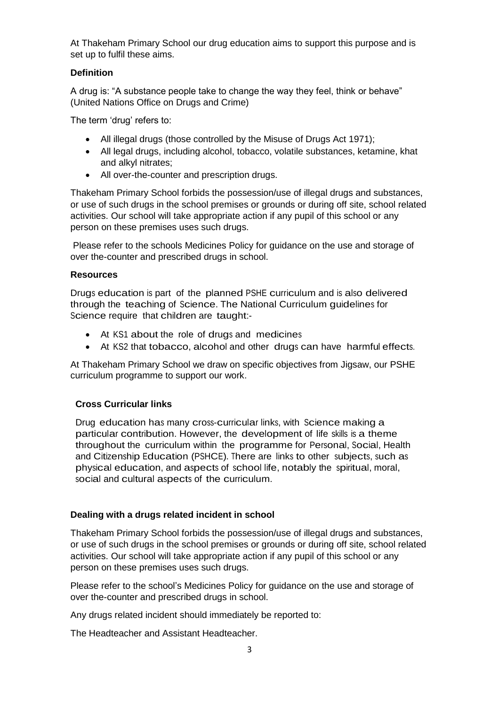At Thakeham Primary School our drug education aims to support this purpose and is set up to fulfil these aims.

## **Definition**

A drug is: "A substance people take to change the way they feel, think or behave" (United Nations Office on Drugs and Crime)

The term 'drug' refers to:

- All illegal drugs (those controlled by the Misuse of Drugs Act 1971);
- All legal drugs, including alcohol, tobacco, volatile substances, ketamine, khat and alkyl nitrates;
- All over-the-counter and prescription drugs.

Thakeham Primary School forbids the possession/use of illegal drugs and substances, or use of such drugs in the school premises or grounds or during off site, school related activities. Our school will take appropriate action if any pupil of this school or any person on these premises uses such drugs.

Please refer to the schools Medicines Policy for guidance on the use and storage of over the-counter and prescribed drugs in school.

## **Resources**

Drugs education is part of the planned PSHE curriculum and is also delivered through the teaching of Science. The National Curriculum guidelines for Science require that children are taught:-

- At KS1 about the role of drugs and medicines
- At KS2 that tobacco, alcohol and other drugs can have harmful effects.

At Thakeham Primary School we draw on specific objectives from Jigsaw, our PSHE curriculum programme to support our work.

## **Cross Curricular links**

Drug education has many cross-curricular links, with Science making a particular contribution. However, the development of life skills is a theme throughout the curriculum within the programme for Personal, Social, Health and Citizenship Education (PSHCE). There are links to other subjects, such as physical education, and aspects of school life, notably the spiritual, moral, social and cultural aspects of the curriculum.

## **Dealing with a drugs related incident in school**

Thakeham Primary School forbids the possession/use of illegal drugs and substances, or use of such drugs in the school premises or grounds or during off site, school related activities. Our school will take appropriate action if any pupil of this school or any person on these premises uses such drugs.

Please refer to the school's Medicines Policy for guidance on the use and storage of over the-counter and prescribed drugs in school.

Any drugs related incident should immediately be reported to:

The Headteacher and Assistant Headteacher.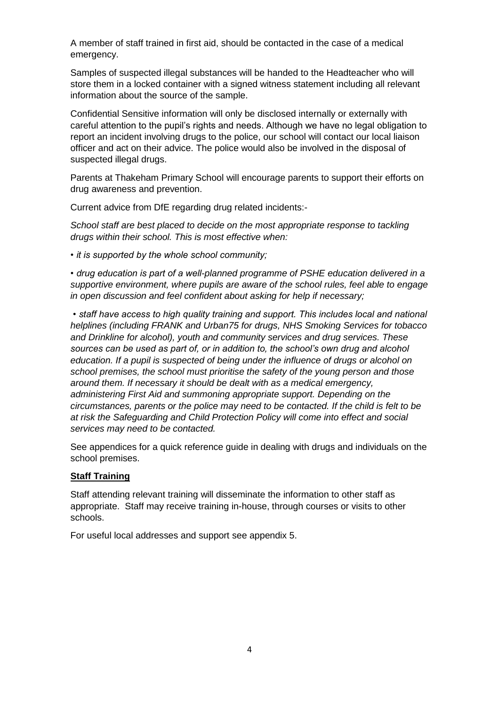A member of staff trained in first aid, should be contacted in the case of a medical emergency.

Samples of suspected illegal substances will be handed to the Headteacher who will store them in a locked container with a signed witness statement including all relevant information about the source of the sample.

Confidential Sensitive information will only be disclosed internally or externally with careful attention to the pupil's rights and needs. Although we have no legal obligation to report an incident involving drugs to the police, our school will contact our local liaison officer and act on their advice. The police would also be involved in the disposal of suspected illegal drugs.

Parents at Thakeham Primary School will encourage parents to support their efforts on drug awareness and prevention.

Current advice from DfE regarding drug related incidents:-

*School staff are best placed to decide on the most appropriate response to tackling drugs within their school. This is most effective when:* 

*• it is supported by the whole school community;* 

*• drug education is part of a well-planned programme of PSHE education delivered in a supportive environment, where pupils are aware of the school rules, feel able to engage in open discussion and feel confident about asking for help if necessary;*

*• staff have access to high quality training and support. This includes local and national helplines (including FRANK and Urban75 for drugs, NHS Smoking Services for tobacco and Drinkline for alcohol), youth and community services and drug services. These sources can be used as part of, or in addition to, the school's own drug and alcohol education. If a pupil is suspected of being under the influence of drugs or alcohol on school premises, the school must prioritise the safety of the young person and those around them. If necessary it should be dealt with as a medical emergency, administering First Aid and summoning appropriate support. Depending on the circumstances, parents or the police may need to be contacted. If the child is felt to be at risk the Safeguarding and Child Protection Policy will come into effect and social services may need to be contacted.* 

See appendices for a quick reference guide in dealing with drugs and individuals on the school premises.

#### **Staff Training**

Staff attending relevant training will disseminate the information to other staff as appropriate. Staff may receive training in-house, through courses or visits to other schools.

For useful local addresses and support see appendix 5.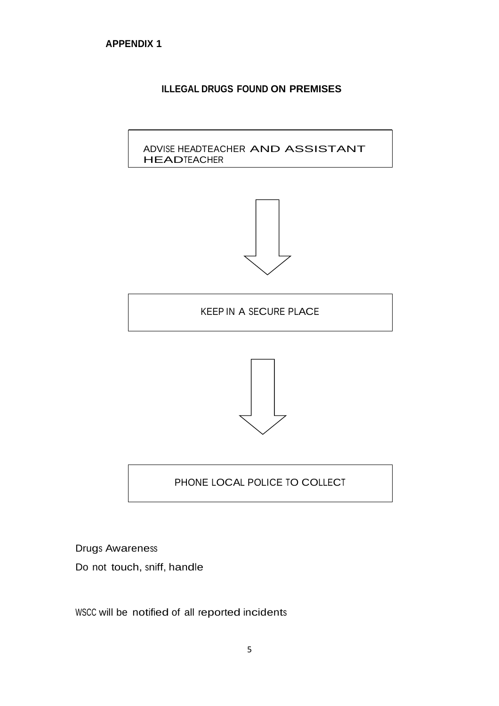## **ILLEGAL DRUGS FOUND ON PREMISES**

ADVISE HEADTEACHER AND ASSISTANT **HEADTEACHER** 



KEEP IN A SECURE PLACE



## PHONE LOCAL POLICE TO COLLECT

Drugs Awareness

Do not touch, sniff, handle

WSCC will be notified of all reported incidents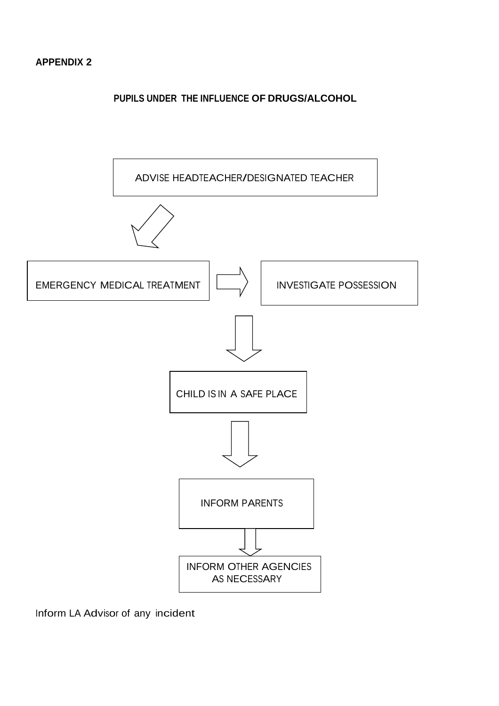

Inform LA Advisor of any incident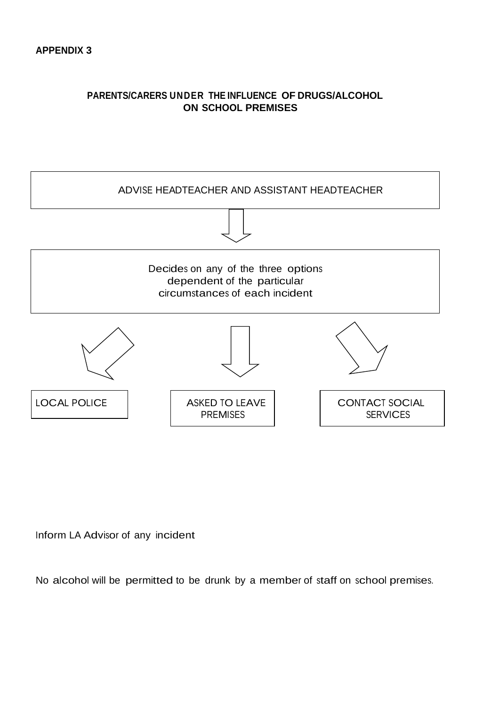## **PARENTS/CARERS UNDER THE INFLUENCE OF DRUGS/ALCOHOL ON SCHOOL PREMISES**



Inform LA Advisor of any incident

No alcohol will be permitted to be drunk by a member of staff on school premises.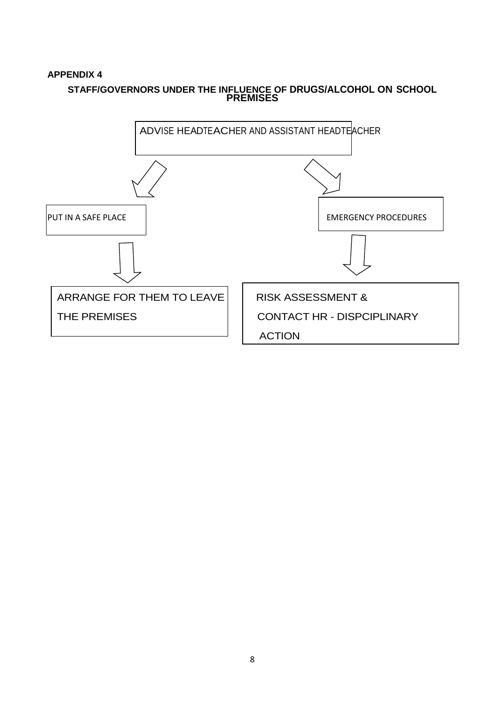## **APPENDIX 4**

## **STAFF/GOVERNORS UNDER THE INFLUENCE OF DRUGS/ALCOHOL ON SCHOOL PREMISES**

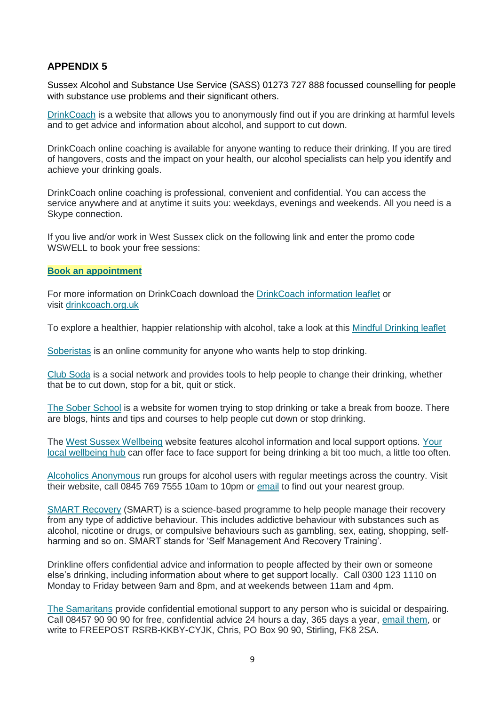## **APPENDIX 5**

Sussex Alcohol and Substance Use Service (SASS) 01273 727 888 focussed counselling for people with substance use problems and their significant others.

[DrinkCoach](http://www.drinkcoach.org.uk/) is a website that allows you to anonymously find out if you are drinking at harmful levels and to get advice and information about alcohol, and support to cut down.

DrinkCoach online coaching is available for anyone wanting to reduce their drinking. If you are tired of hangovers, costs and the impact on your health, our alcohol specialists can help you identify and achieve your drinking goals.

DrinkCoach online coaching is professional, convenient and confidential. You can access the service anywhere and at anytime it suits you: weekdays, evenings and weekends. All you need is a Skype connection.

If you live and/or work in West Sussex click on the following link and enter the promo code WSWELL to book your free sessions:

#### **[Book an appointment](https://drinkcoach.bookinglive.com/book/add/p/1)**

For more information on DrinkCoach download the [DrinkCoach information leaflet](https://www.westsussexwellbeing.org.uk/assets/uploads/documents/7-things-leaflet-DrinkCoach-promo-WS_1536847580.pdf) or visit [drinkcoach.org.uk](http://www.drinkcoach.org.uk/)

To explore a healthier, happier relationship with alcohol, take a look at this [Mindful Drinking leaflet](https://www.westsussexwellbeing.org.uk/assets/uploads/documents/Mindful-Drinking-leaflet-PROMO-WSv2-PRINT_1536847448.pdf)

[Soberistas](http://soberistas.com/) is an online community for anyone who wants help to stop drinking.

[Club Soda](https://www.joinclubsoda.co.uk/home) is a social network and provides tools to help people to change their drinking, whether that be to cut down, stop for a bit, quit or stick.

[The Sober School](http://thesoberschool.com/start-here/) is a website for women trying to stop drinking or take a break from booze. There are blogs, hints and tips and courses to help people cut down or stop drinking.

The [West Sussex Wellbeing](http://www.westsussexwellbeing.org.uk/topics/alcohol) website features alcohol information and local support options. [Your](http://www.westsussexwellbeing.org.uk/change-area)  [local wellbeing hub](http://www.westsussexwellbeing.org.uk/change-area) can offer face to face support for being drinking a bit too much, a little too often.

[Alcoholics Anonymous](http://www.alcoholics-anonymous.org.uk/) run groups for alcohol users with regular meetings across the country. Visit their website, call 0845 769 7555 10am to 10pm or [email](mailto:help@alcoholics-anonymous.org.uk) to find out your nearest group.

[SMART Recovery](https://smartrecovery.org.uk/about-smart-recovery-meetings/) (SMART) is a science-based programme to help people manage their recovery from any type of addictive behaviour. This includes addictive behaviour with substances such as alcohol, nicotine or drugs, or compulsive behaviours such as gambling, sex, eating, shopping, selfharming and so on. SMART stands for 'Self Management And Recovery Training'.

Drinkline offers confidential advice and information to people affected by their own or someone else's drinking, including information about where to get support locally. Call 0300 123 1110 on Monday to Friday between 9am and 8pm, and at weekends between 11am and 4pm.

[The Samaritans](http://www.samaritans.org/) provide confidential emotional support to any person who is suicidal or despairing. Call 08457 90 90 90 for free, confidential advice 24 hours a day, 365 days a year, [email them,](mailto:jo@samaritans.org) or write to FREEPOST RSRB-KKBY-CYJK, Chris, PO Box 90 90, Stirling, FK8 2SA.